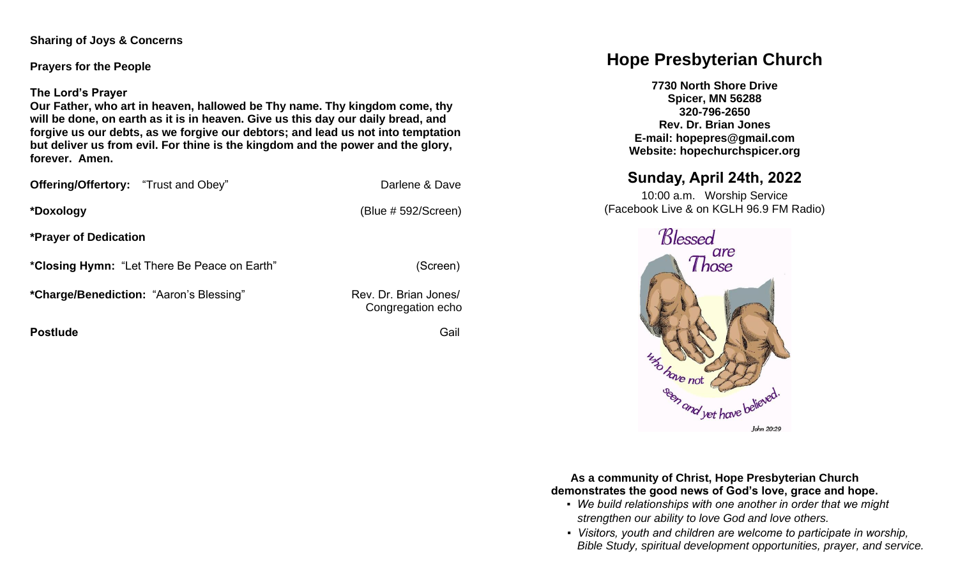#### **Sharing of Joys & Concerns**

**Prayers for the People**

#### **The Lord's Prayer**

**Our Father, who art in heaven, hallowed be Thy name. Thy kingdom come, thy will be done, on earth as it is in heaven. Give us this day our daily bread, and forgive us our debts, as we forgive our debtors; and lead us not into temptation but deliver us from evil. For thine is the kingdom and the power and the glory, forever. Amen.** 

| Offering/Offertory: "Trust and Obey"           | Darlene & Dave                             |
|------------------------------------------------|--------------------------------------------|
| *Doxology                                      | (Blue # 592/Screen)                        |
| <b>*Prayer of Dedication</b>                   |                                            |
| *Closing Hymn: "Let There Be Peace on Earth"   | (Screen)                                   |
| <i>*Charge/Benediction: "Aaron's Blessing"</i> | Rev. Dr. Brian Jones/<br>Congregation echo |

**Postlude Contract Contract Contract Contract Contract Contract Contract Contract Contract Contract Contract Contract Contract Contract Contract Contract Contract Contract Contract Contract Contract Contract Contract Contr** 

# **Hope Presbyterian Church**

**7730 North Shore Drive Spicer, MN 56288 320-796-2650 Rev. Dr. Brian Jones E-mail: hopepres@gmail.com Website: hopechurchspicer.org**

## **Sunday, April 24th, 2022**

10:00 a.m. Worship Service (Facebook Live & on KGLH 96.9 FM Radio)



#### **As a community of Christ, Hope Presbyterian Church demonstrates the good news of God's love, grace and hope.**

- *We build relationships with one another in order that we might strengthen our ability to love God and love others.*
- *Visitors, youth and children are welcome to participate in worship, Bible Study, spiritual development opportunities, prayer, and service.*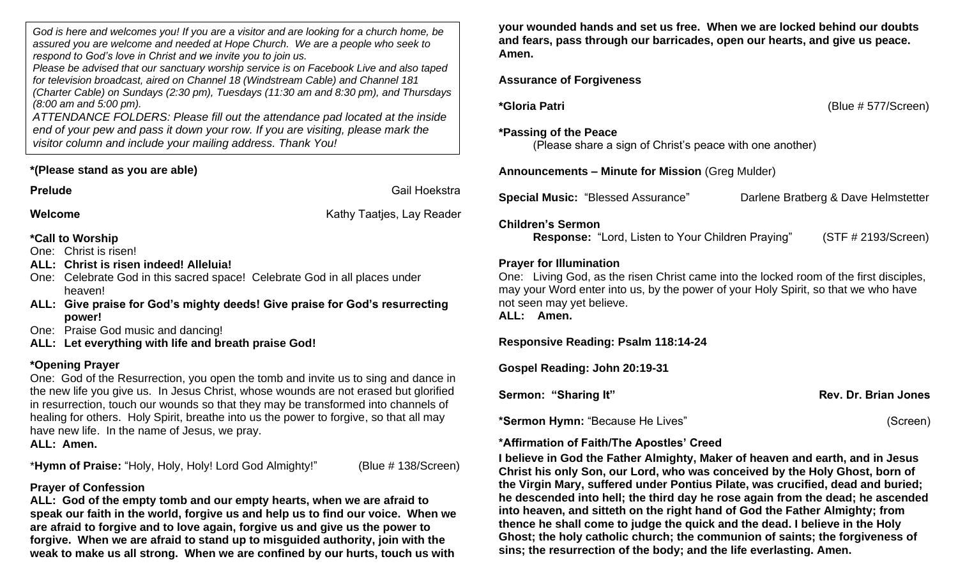*God is here and welcomes you! If you are a visitor and are looking for a church home, be assured you are welcome and needed at Hope Church. We are a people who seek to respond to God's love in Christ and we invite you to join us.*

*Please be advised that our sanctuary worship service is on Facebook Live and also taped for television broadcast, aired on Channel 18 (Windstream Cable) and Channel 181 (Charter Cable) on Sundays (2:30 pm), Tuesdays (11:30 am and 8:30 pm), and Thursdays (8:00 am and 5:00 pm).*

*ATTENDANCE FOLDERS: Please fill out the attendance pad located at the inside end of your pew and pass it down your row. If you are visiting, please mark the visitor column and include your mailing address. Thank You!*

### **\*(Please stand as you are able)**

**Prelude** Gail Hoekstra

**Welcome Welcome Kathy Taaties, Lay Reader Kathy Taaties**, Lay Reader

**\*Call to Worship** One: Christ is risen!

- **ALL: Christ is risen indeed! Alleluia!**
- One: Celebrate God in this sacred space! Celebrate God in all places under heaven!
- **ALL: Give praise for God's mighty deeds! Give praise for God's resurrecting power!**

One: Praise God music and dancing!

**ALL: Let everything with life and breath praise God!**

### **\*Opening Prayer**

One: God of the Resurrection, you open the tomb and invite us to sing and dance in the new life you give us. In Jesus Christ, whose wounds are not erased but glorified in resurrection, touch our wounds so that they may be transformed into channels of healing for others. Holy Spirit, breathe into us the power to forgive, so that all may have new life. In the name of Jesus, we pray. **ALL: Amen.**

\***Hymn of Praise:** "Holy, Holy, Holy! Lord God Almighty!" (Blue # 138/Screen)

### **Prayer of Confession**

**ALL: God of the empty tomb and our empty hearts, when we are afraid to speak our faith in the world, forgive us and help us to find our voice. When we are afraid to forgive and to love again, forgive us and give us the power to forgive. When we are afraid to stand up to misguided authority, join with the weak to make us all strong. When we are confined by our hurts, touch us with** 

**your wounded hands and set us free. When we are locked behind our doubts and fears, pass through our barricades, open our hearts, and give us peace. Amen.**

### **Assurance of Forgiveness**

**\*Gloria Patri** (Blue # 577/Screen)

#### **\*Passing of the Peace**

(Please share a sign of Christ's peace with one another)

**Announcements – Minute for Mission** (Greg Mulder)

**Special Music:** "Blessed Assurance" Darlene Bratberg & Dave Helmstetter

### **Children's Sermon**

**Response:** "Lord, Listen to Your Children Praying" (STF # 2193/Screen)

### **Prayer for Illumination**

One: Living God, as the risen Christ came into the locked room of the first disciples, may your Word enter into us, by the power of your Holy Spirit, so that we who have not seen may yet believe.

**ALL: Amen.**

**Responsive Reading: Psalm 118:14-24** 

**Gospel Reading: John 20:19-31**

| Sermon: "Sharing It" | Rev. Dr. Brian Jones |
|----------------------|----------------------|
|----------------------|----------------------|

**\*Sermon Hymn:** "Because He Lives" (Screen)

### **\*Affirmation of Faith/The Apostles' Creed**

**I believe in God the Father Almighty, Maker of heaven and earth, and in Jesus Christ his only Son, our Lord, who was conceived by the Holy Ghost, born of the Virgin Mary, suffered under Pontius Pilate, was crucified, dead and buried; he descended into hell; the third day he rose again from the dead; he ascended into heaven, and sitteth on the right hand of God the Father Almighty; from thence he shall come to judge the quick and the dead. I believe in the Holy Ghost; the holy catholic church; the communion of saints; the forgiveness of sins; the resurrection of the body; and the life everlasting. Amen.**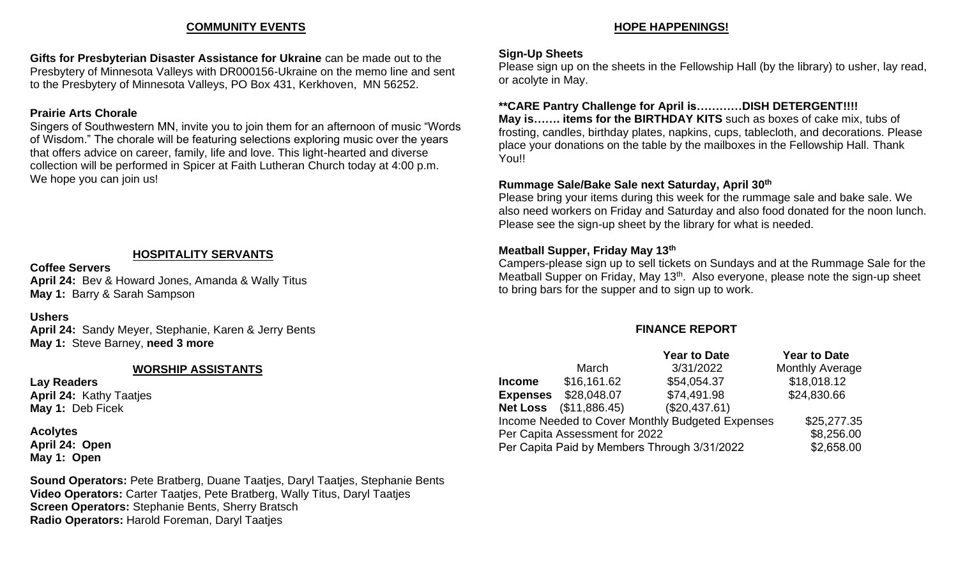#### **COMMUNITY EVENTS**

**Gifts for Presbyterian Disaster Assistance for Ukraine** can be made out to the Presbytery of Minnesota Valleys with DR000156-Ukraine on the memo line and sent to the Presbytery of Minnesota Valleys, PO Box 431, Kerkhoven, MN 56252.

#### **Prairie Arts Chorale**

Singers of Southwestern MN, invite you to join them for an afternoon of music "Words of Wisdom." The chorale will be featuring selections exploring music over the years that offers advice on career, family, life and love. This light-hearted and diverse collection will be performed in Spicer at Faith Lutheran Church today at 4:00 p.m. We hope you can join us!

#### **HOSPITALITY SERVANTS**

**Coffee Servers April 24:** Bev & Howard Jones, Amanda & Wally Titus **May 1:** Barry & Sarah Sampson

#### **Ushers**

**April 24:** Sandy Meyer, Stephanie, Karen & Jerry Bents **May 1:** Steve Barney, **need 3 more**

#### **WORSHIP ASSISTANTS**

**Lay Readers April 24:** Kathy Taatjes **May 1:** Deb Ficek

**Acolytes April 24: Open May 1: Open**

**Sound Operators:** Pete Bratberg, Duane Taatjes, Daryl Taatjes, Stephanie Bents **Video Operators:** Carter Taatjes, Pete Bratberg, Wally Titus, Daryl Taatjes **Screen Operators:** Stephanie Bents, Sherry Bratsch **Radio Operators:** Harold Foreman, Daryl Taatjes

#### **HOPE HAPPENINGS!**

#### **Sign-Up Sheets**

Please sign up on the sheets in the Fellowship Hall (by the library) to usher, lay read, or acolyte in May.

#### **\*\*CARE Pantry Challenge for April is…………DISH DETERGENT!!!!**

**May is……. items for the BIRTHDAY KITS** such as boxes of cake mix, tubs of frosting, candles, birthday plates, napkins, cups, tablecloth, and decorations. Please place your donations on the table by the mailboxes in the Fellowship Hall. Thank You!!

#### **Rummage Sale/Bake Sale next Saturday, April 30th**

Please bring your items during this week for the rummage sale and bake sale. We also need workers on Friday and Saturday and also food donated for the noon lunch. Please see the sign-up sheet by the library for what is needed.

#### **Meatball Supper, Friday May 13th**

Campers-please sign up to sell tickets on Sundays and at the Rummage Sale for the Meatball Supper on Friday, May 13<sup>th</sup>. Also everyone, please note the sign-up sheet to bring bars for the supper and to sign up to work.

#### **FINANCE REPORT**

|                                                  |               | <b>Year to Date</b> | <b>Year to Date</b>    |
|--------------------------------------------------|---------------|---------------------|------------------------|
|                                                  | March         | 3/31/2022           | <b>Monthly Average</b> |
| <b>Income</b>                                    | \$16,161.62   | \$54,054.37         | \$18,018.12            |
| <b>Expenses</b>                                  | \$28,048.07   | \$74,491.98         | \$24,830.66            |
| <b>Net Loss</b>                                  | (\$11,886.45) | (\$20,437.61)       |                        |
| Income Needed to Cover Monthly Budgeted Expenses |               |                     | \$25,277.35            |
| Per Capita Assessment for 2022                   |               |                     | \$8,256.00             |
| Per Capita Paid by Members Through 3/31/2022     |               |                     | \$2,658.00             |